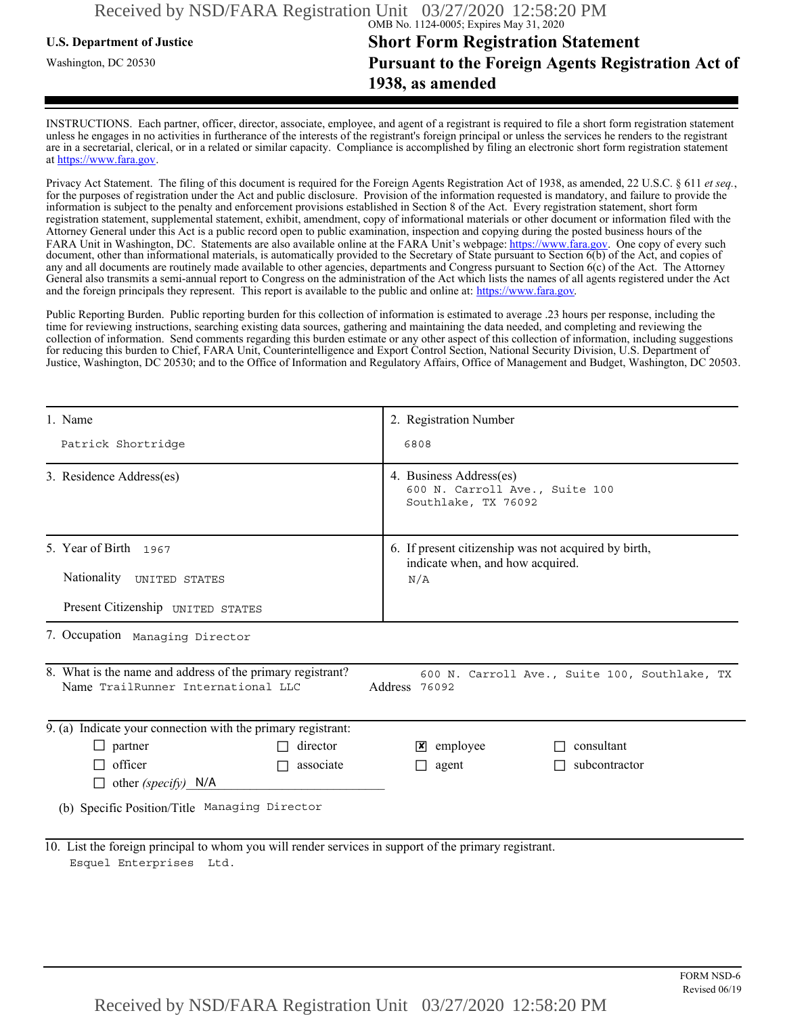## **U.S. Department of Justice Short Form Registration Statement** Washington, DC 20530 **Pursuant to the Foreign Agents Registration Act of 1938, as amended**

INSTRUCTIONS. Each partner, officer, director, associate, employee, and agent of a registrant is required to file a short form registration statement unless he engages in no activities in furtherance of the interests of the registrant's foreign principal or unless the services he renders to the registrant are in a secretarial, clerical, or in a related or similar capacity. Compliance is accomplished by filing an electronic short form registration statement at https://www.fara.gov.

Privacy Act Statement. The filing of this document is required for the Foreign Agents Registration Act of 1938, as amended, 22 U.S.C. § 611 *et seq.*, for the purposes of registration under the Act and public disclosure. Provision of the information requested is mandatory, and failure to provide the information is subject to the penalty and enforcement provisions established in Section 8 of the Act. Every registration statement, short form registration statement, supplemental statement, exhibit, amendment, copy of informational materials or other document or information filed with the Attorney General under this Act is a public record open to public examination, inspection and copying during the posted business hours of the FARA Unit in Washington, DC. Statements are also available online at the FARA Unit's webpage: https://www.fara.gov. One copy of every such document, other than informational materials, is automatically provided to the Secretary of State pursuant to Section 6(b) of the Act, and copies of any and all documents are routinely made available to other agencies, departments and Congress pursuant to Section 6(c) of the Act. The Attorney General also transmits a semi-annual report to Congress on the administration of the Act which lists the names of all agents registered under the Act and the foreign principals they represent. This report is available to the public and online at: https://www.fara.gov.

Public Reporting Burden. Public reporting burden for this collection of information is estimated to average .23 hours per response, including the time for reviewing instructions, searching existing data sources, gathering and maintaining the data needed, and completing and reviewing the collection of information. Send comments regarding this burden estimate or any other aspect of this collection of information, including suggestions for reducing this burden to Chief, FARA Unit, Counterintelligence and Export Control Section, National Security Division, U.S. Department of Justice, Washington, DC 20530; and to the Office of Information and Regulatory Affairs, Office of Management and Budget, Washington, DC 20503.

| 1. Name                                                                                                                                                            | 2. Registration Number                                                                   |  |  |  |
|--------------------------------------------------------------------------------------------------------------------------------------------------------------------|------------------------------------------------------------------------------------------|--|--|--|
| Patrick Shortridge                                                                                                                                                 | 6808                                                                                     |  |  |  |
| 3. Residence Address(es)                                                                                                                                           | 4. Business Address(es)<br>600 N. Carroll Ave., Suite 100<br>Southlake, TX 76092         |  |  |  |
| 5. Year of Birth 1967                                                                                                                                              | 6. If present citizenship was not acquired by birth,<br>indicate when, and how acquired. |  |  |  |
| Nationality UNITED STATES                                                                                                                                          | N/A                                                                                      |  |  |  |
| Present Citizenship UNITED STATES                                                                                                                                  |                                                                                          |  |  |  |
| 7. Occupation Managing Director                                                                                                                                    |                                                                                          |  |  |  |
| 8. What is the name and address of the primary registrant?<br>600 N. Carroll Ave., Suite 100, Southlake, TX<br>Name TrailRunner International LLC<br>Address 76092 |                                                                                          |  |  |  |
| 9. (a) Indicate your connection with the primary registrant:                                                                                                       |                                                                                          |  |  |  |
| director<br>$\Box$ partner                                                                                                                                         | consultant<br>$\mathbf{x}$ employee                                                      |  |  |  |
| officer<br>associate                                                                                                                                               | subcontractor<br>agent<br>$\Box$                                                         |  |  |  |
| other (specify) $N/A$                                                                                                                                              |                                                                                          |  |  |  |
| (b) Specific Position/Title Managing Director                                                                                                                      |                                                                                          |  |  |  |
| 10. List the foreign principal to whom you will render services in support of the primary registrant.<br>Esquel Enterprises Ltd.                                   |                                                                                          |  |  |  |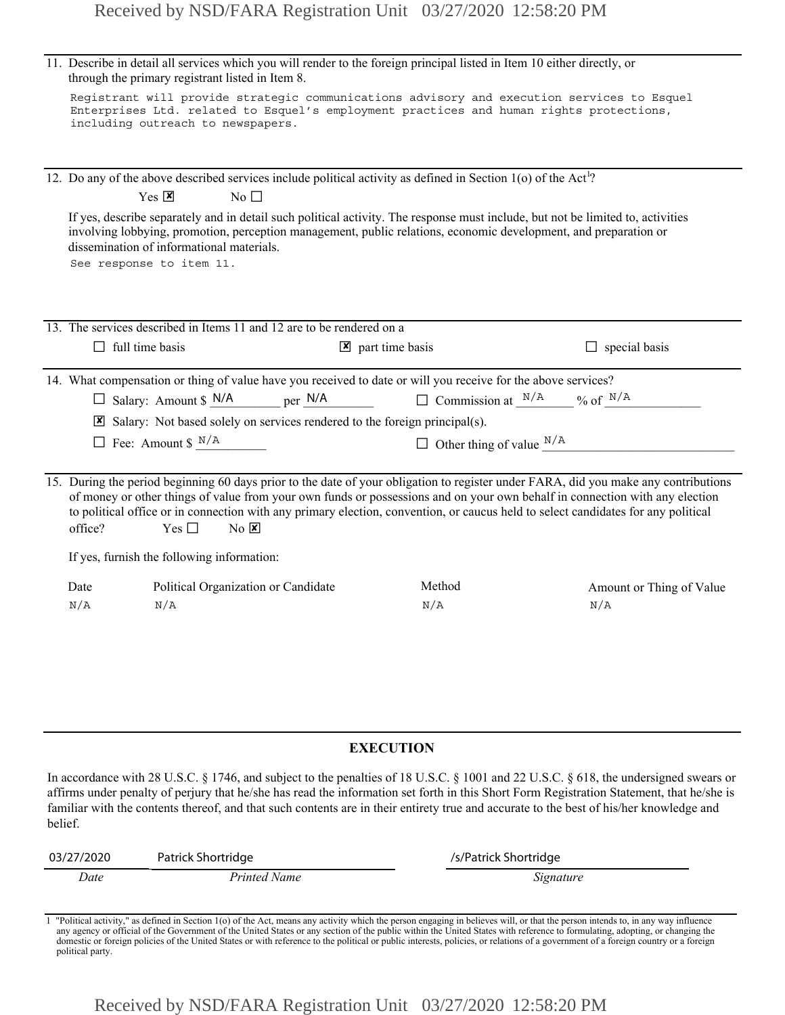|                  | through the primary registrant listed in Item 8.                                       | 11. Describe in detail all services which you will render to the foreign principal listed in Item 10 either directly, or                                                                                                                                                                                                                                                                                                     |                                 |  |
|------------------|----------------------------------------------------------------------------------------|------------------------------------------------------------------------------------------------------------------------------------------------------------------------------------------------------------------------------------------------------------------------------------------------------------------------------------------------------------------------------------------------------------------------------|---------------------------------|--|
|                  | including outreach to newspapers.                                                      | Registrant will provide strategic communications advisory and execution services to Esquel<br>Enterprises Ltd. related to Esquel's employment practices and human rights protections,                                                                                                                                                                                                                                        |                                 |  |
|                  |                                                                                        | 12. Do any of the above described services include political activity as defined in Section 1(o) of the Act <sup>1</sup> ?                                                                                                                                                                                                                                                                                                   |                                 |  |
|                  | $Yes \n  X$<br>No $\square$                                                            |                                                                                                                                                                                                                                                                                                                                                                                                                              |                                 |  |
|                  | dissemination of informational materials.<br>See response to item 11.                  | If yes, describe separately and in detail such political activity. The response must include, but not be limited to, activities<br>involving lobbying, promotion, perception management, public relations, economic development, and preparation or                                                                                                                                                                          |                                 |  |
|                  | 13. The services described in Items 11 and 12 are to be rendered on a                  |                                                                                                                                                                                                                                                                                                                                                                                                                              |                                 |  |
|                  | $\Box$ full time basis                                                                 | $\triangleright$ part time basis                                                                                                                                                                                                                                                                                                                                                                                             | $\Box$ special basis            |  |
|                  |                                                                                        | 14. What compensation or thing of value have you received to date or will you receive for the above services?                                                                                                                                                                                                                                                                                                                |                                 |  |
|                  | $\Box$ Salary: Amount \$ N/A<br>per N/A                                                | $\Box$ Commission at $\frac{N/A}{N}$ % of $\frac{N/A}{N}$                                                                                                                                                                                                                                                                                                                                                                    |                                 |  |
|                  | $\boxtimes$ Salary: Not based solely on services rendered to the foreign principal(s). |                                                                                                                                                                                                                                                                                                                                                                                                                              |                                 |  |
|                  | $\Box$ Fee: Amount \$ $N/A$                                                            | $\Box$ Other thing of value $\Box^{N/A}$                                                                                                                                                                                                                                                                                                                                                                                     |                                 |  |
| office?          | Yes $\Box$<br>$No$ $X$                                                                 | 15. During the period beginning 60 days prior to the date of your obligation to register under FARA, did you make any contributions<br>of money or other things of value from your own funds or possessions and on your own behalf in connection with any election<br>to political office or in connection with any primary election, convention, or caucus held to select candidates for any political                      |                                 |  |
|                  | If yes, furnish the following information:                                             |                                                                                                                                                                                                                                                                                                                                                                                                                              |                                 |  |
| Date<br>N/A      | Political Organization or Candidate<br>N/A                                             | Method<br>N/A                                                                                                                                                                                                                                                                                                                                                                                                                | Amount or Thing of Value<br>N/A |  |
|                  |                                                                                        |                                                                                                                                                                                                                                                                                                                                                                                                                              |                                 |  |
| <b>EXECUTION</b> |                                                                                        |                                                                                                                                                                                                                                                                                                                                                                                                                              |                                 |  |
| belief.          |                                                                                        | In accordance with 28 U.S.C. § 1746, and subject to the penalties of 18 U.S.C. § 1001 and 22 U.S.C. § 618, the undersigned swears or<br>affirms under penalty of perjury that he/she has read the information set forth in this Short Form Registration Statement, that he/she is<br>familiar with the contents thereof, and that such contents are in their entirety true and accurate to the best of his/her knowledge and |                                 |  |
| 03/27/2020       | Patrick Shortridge                                                                     | /s/Patrick Shortridge                                                                                                                                                                                                                                                                                                                                                                                                        |                                 |  |

## **EXECUTION**

| 03/27/2020 | Patrick Shortridge | /s/Patrick Shortridge |
|------------|--------------------|-----------------------|
| Date       | Printed Name       | Signature             |

1 "Political activity," as defined in Section 1(o) of the Act, means any activity which the person engaging in believes will, or that the person intends to, in any way influence any agency or official of the Government of the United States or any section of the public within the United States with reference to formulating, adopting, or changing the<br>domestic or foreign policies of the United States political party.